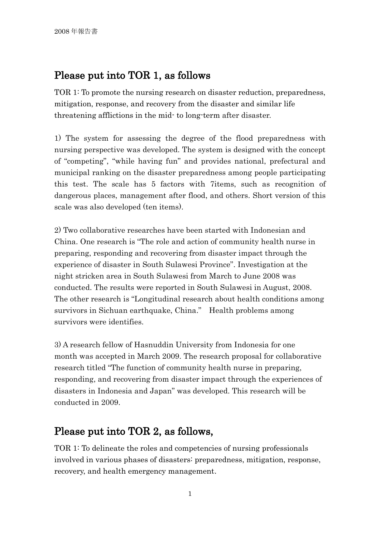### Please put into TOR 1, as follows

TOR 1: To promote the nursing research on disaster reduction, preparedness, mitigation, response, and recovery from the disaster and similar life threatening afflictions in the mid- to long-term after disaster.

1) The system for assessing the degree of the flood preparedness with nursing perspective was developed. The system is designed with the concept of "competing", "while having fun" and provides national, prefectural and municipal ranking on the disaster preparedness among people participating this test. The scale has 5 factors with 7items, such as recognition of dangerous places, management after flood, and others. Short version of this scale was also developed (ten items).

2) Two collaborative researches have been started with Indonesian and China. One research is "The role and action of community health nurse in preparing, responding and recovering from disaster impact through the experience of disaster in South Sulawesi Province". Investigation at the night stricken area in South Sulawesi from March to June 2008 was conducted. The results were reported in South Sulawesi in August, 2008. The other research is "Longitudinal research about health conditions among survivors in Sichuan earthquake, China." Health problems among survivors were identifies.

3) A research fellow of Hasnuddin University from Indonesia for one month was accepted in March 2009. The research proposal for collaborative research titled "The function of community health nurse in preparing, responding, and recovering from disaster impact through the experiences of disasters in Indonesia and Japan" was developed. This research will be conducted in 2009.

### Please put into TOR 2, as follows,

TOR 1: To delineate the roles and competencies of nursing professionals involved in various phases of disasters: preparedness, mitigation, response, recovery, and health emergency management.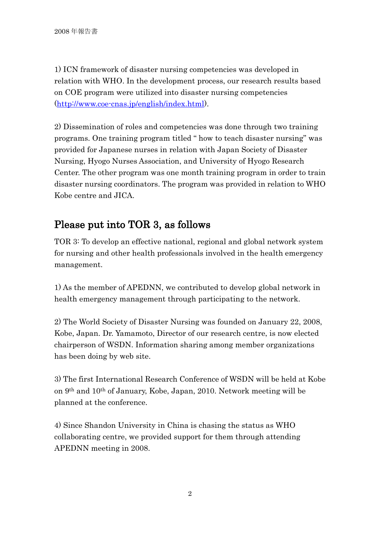1) ICN framework of disaster nursing competencies was developed in relation with WHO. In the development process, our research results based on COE program were utilized into disaster nursing competencies [\(http://www.coe-cnas.jp/english/index.html\)](http://www.coe-cnas.jp/english/index.html).

2) Dissemination of roles and competencies was done through two training programs. One training program titled " how to teach disaster nursing" was provided for Japanese nurses in relation with Japan Society of Disaster Nursing, Hyogo Nurses Association, and University of Hyogo Research Center. The other program was one month training program in order to train disaster nursing coordinators. The program was provided in relation to WHO Kobe centre and JICA.

# Please put into TOR 3, as follows

TOR 3: To develop an effective national, regional and global network system for nursing and other health professionals involved in the health emergency management.

1) As the member of APEDNN, we contributed to develop global network in health emergency management through participating to the network.

2) The World Society of Disaster Nursing was founded on January 22, 2008, Kobe, Japan. Dr. Yamamoto, Director of our research centre, is now elected chairperson of WSDN. Information sharing among member organizations has been doing by web site.

3) The first International Research Conference of WSDN will be held at Kobe on 9th and 10th of January, Kobe, Japan, 2010. Network meeting will be planned at the conference.

4) Since Shandon University in China is chasing the status as WHO collaborating centre, we provided support for them through attending APEDNN meeting in 2008.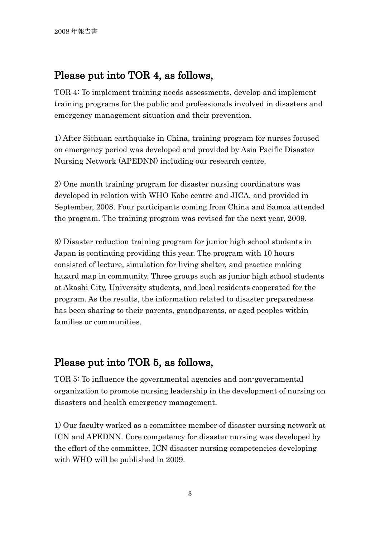## Please put into TOR 4, as follows,

TOR 4: To implement training needs assessments, develop and implement training programs for the public and professionals involved in disasters and emergency management situation and their prevention.

1) After Sichuan earthquake in China, training program for nurses focused on emergency period was developed and provided by Asia Pacific Disaster Nursing Network (APEDNN) including our research centre.

2) One month training program for disaster nursing coordinators was developed in relation with WHO Kobe centre and JICA, and provided in September, 2008. Four participants coming from China and Samoa attended the program. The training program was revised for the next year, 2009.

3) Disaster reduction training program for junior high school students in Japan is continuing providing this year. The program with 10 hours consisted of lecture, simulation for living shelter, and practice making hazard map in community. Three groups such as junior high school students at Akashi City, University students, and local residents cooperated for the program. As the results, the information related to disaster preparedness has been sharing to their parents, grandparents, or aged peoples within families or communities.

### Please put into TOR 5, as follows,

TOR 5: To influence the governmental agencies and non-governmental organization to promote nursing leadership in the development of nursing on disasters and health emergency management.

1) Our faculty worked as a committee member of disaster nursing network at ICN and APEDNN. Core competency for disaster nursing was developed by the effort of the committee. ICN disaster nursing competencies developing with WHO will be published in 2009.